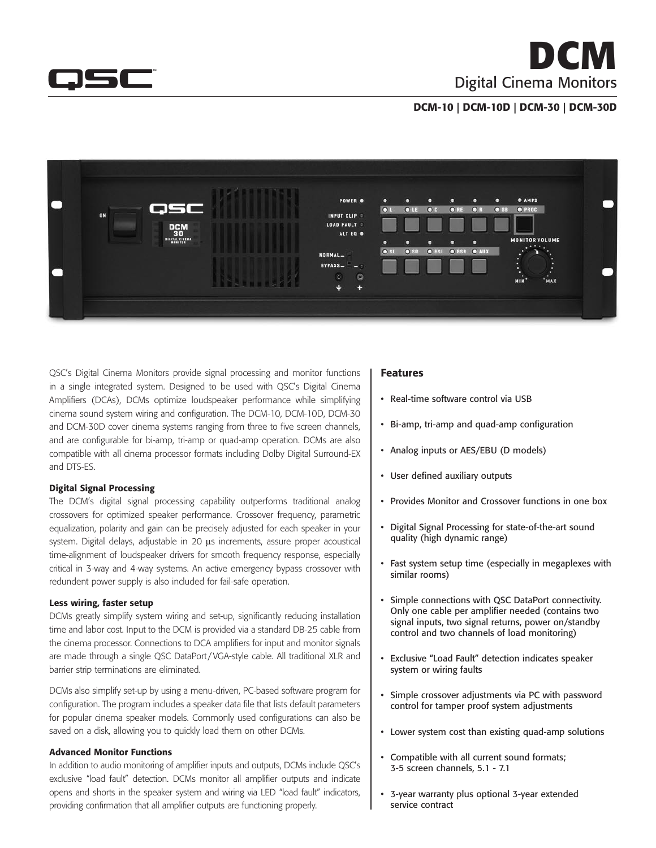

**DCM** Digital Cinema Monitors

## DCM-10 | DCM-10D | DCM-30 | DCM-30D



QSC's Digital Cinema Monitors provide signal processing and monitor functions in a single integrated system. Designed to be used with QSC's Digital Cinema Amplifiers (DCAs), DCMs optimize loudspeaker performance while simplifying cinema sound system wiring and configuration. The DCM-10, DCM-10D, DCM-30 and DCM-30D cover cinema systems ranging from three to five screen channels, and are configurable for bi-amp, tri-amp or quad-amp operation. DCMs are also compatible with all cinema processor formats including Dolby Digital Surround-EX and DTS-ES.

#### Digital Signal Processing

The DCM's digital signal processing capability outperforms traditional analog crossovers for optimized speaker performance. Crossover frequency, parametric equalization, polarity and gain can be precisely adjusted for each speaker in your system. Digital delays, adjustable in 20  $\mu$ s increments, assure proper acoustical time-alignment of loudspeaker drivers for smooth frequency response, especially critical in 3-way and 4-way systems. An active emergency bypass crossover with redundent power supply is also included for fail-safe operation.

#### Less wiring, faster setup

DCMs greatly simplify system wiring and set-up, significantly reducing installation time and labor cost. Input to the DCM is provided via a standard DB-25 cable from the cinema processor. Connections to DCA amplifiers for input and monitor signals are made through a single QSC DataPort /VGA-style cable. All traditional XLR and barrier strip terminations are eliminated.

DCMs also simplify set-up by using a menu-driven, PC-based software program for configuration. The program includes a speaker data file that lists default parameters for popular cinema speaker models. Commonly used configurations can also be saved on a disk, allowing you to quickly load them on other DCMs.

#### Advanced Monitor Functions

In addition to audio monitoring of amplifier inputs and outputs, DCMs include QSC's exclusive "load fault" detection. DCMs monitor all amplifier outputs and indicate opens and shorts in the speaker system and wiring via LED "load fault" indicators, providing confirmation that all amplifier outputs are functioning properly.

#### Features

- Real-time software control via USB
- • Bi-amp, tri-amp and quad-amp configuration
- Analog inputs or AES/EBU (D models)
- • User defined auxiliary outputs
- Provides Monitor and Crossover functions in one box
- Digital Signal Processing for state-of-the-art sound quality (high dynamic range)
- Fast system setup time (especially in megaplexes with similar rooms)
- Simple connections with QSC DataPort connectivity. Only one cable per amplifier needed (contains two signal inputs, two signal returns, power on/standby control and two channels of load monitoring)
- Exclusive "Load Fault" detection indicates speaker system or wiring faults
- Simple crossover adjustments via PC with password control for tamper proof system adjustments
- Lower system cost than existing quad-amp solutions
- Compatible with all current sound formats; 3-5 screen channels, 5.1 - 7.1
- 3-year warranty plus optional 3-year extended service contract